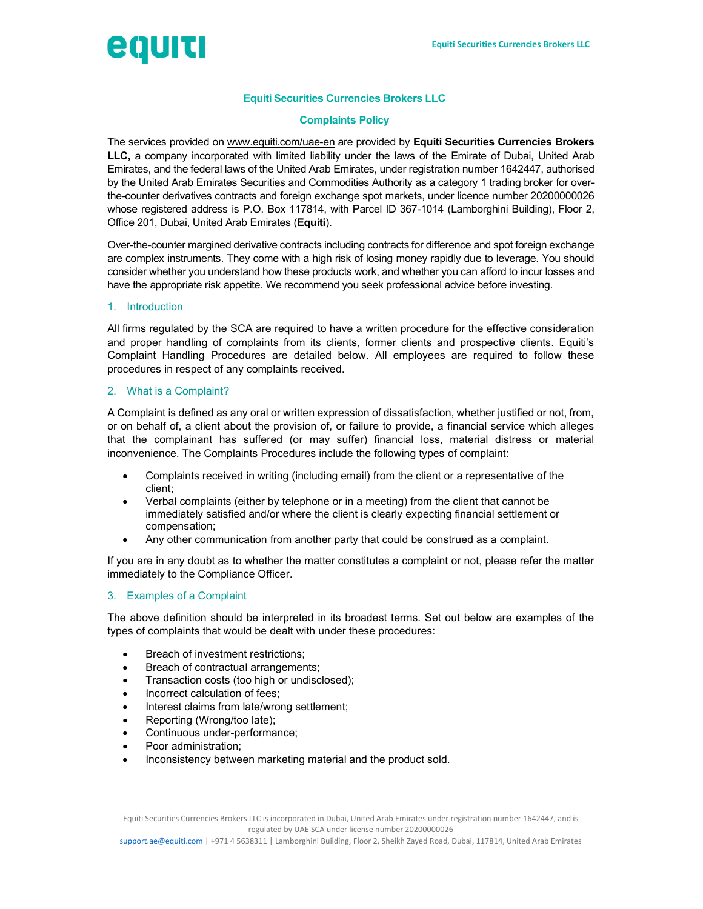

# Equiti Securities Currencies Brokers LLC

### Complaints Policy

The services provided on www.equiti.com/uae-en are provided by Equiti Securities Currencies Brokers LLC, a company incorporated with limited liability under the laws of the Emirate of Dubai, United Arab Emirates, and the federal laws of the United Arab Emirates, under registration number 1642447, authorised by the United Arab Emirates Securities and Commodities Authority as a category 1 trading broker for overthe-counter derivatives contracts and foreign exchange spot markets, under licence number 20200000026 whose registered address is P.O. Box 117814, with Parcel ID 367-1014 (Lamborghini Building), Floor 2, Office 201, Dubai, United Arab Emirates (Equiti).

Over-the-counter margined derivative contracts including contracts for difference and spot foreign exchange are complex instruments. They come with a high risk of losing money rapidly due to leverage. You should consider whether you understand how these products work, and whether you can afford to incur losses and have the appropriate risk appetite. We recommend you seek professional advice before investing.

#### 1. Introduction

All firms regulated by the SCA are required to have a written procedure for the effective consideration and proper handling of complaints from its clients, former clients and prospective clients. Equiti's Complaint Handling Procedures are detailed below. All employees are required to follow these procedures in respect of any complaints received.

#### 2. What is a Complaint?

A Complaint is defined as any oral or written expression of dissatisfaction, whether justified or not, from, or on behalf of, a client about the provision of, or failure to provide, a financial service which alleges that the complainant has suffered (or may suffer) financial loss, material distress or material inconvenience. The Complaints Procedures include the following types of complaint:

- Complaints received in writing (including email) from the client or a representative of the client;
- Verbal complaints (either by telephone or in a meeting) from the client that cannot be immediately satisfied and/or where the client is clearly expecting financial settlement or compensation;
- Any other communication from another party that could be construed as a complaint.

If you are in any doubt as to whether the matter constitutes a complaint or not, please refer the matter immediately to the Compliance Officer.

#### 3. Examples of a Complaint

The above definition should be interpreted in its broadest terms. Set out below are examples of the types of complaints that would be dealt with under these procedures:

- Breach of investment restrictions;
- Breach of contractual arrangements;
- Transaction costs (too high or undisclosed);
- Incorrect calculation of fees;
- Interest claims from late/wrong settlement;
- Reporting (Wrong/too late);
- Continuous under-performance;
- Poor administration;
- Inconsistency between marketing material and the product sold.

Equiti Securities Currencies Brokers LLC is incorporated in Dubai, United Arab Emirates under registration number 1642447, and is regulated by UAE SCA under license number 20200000026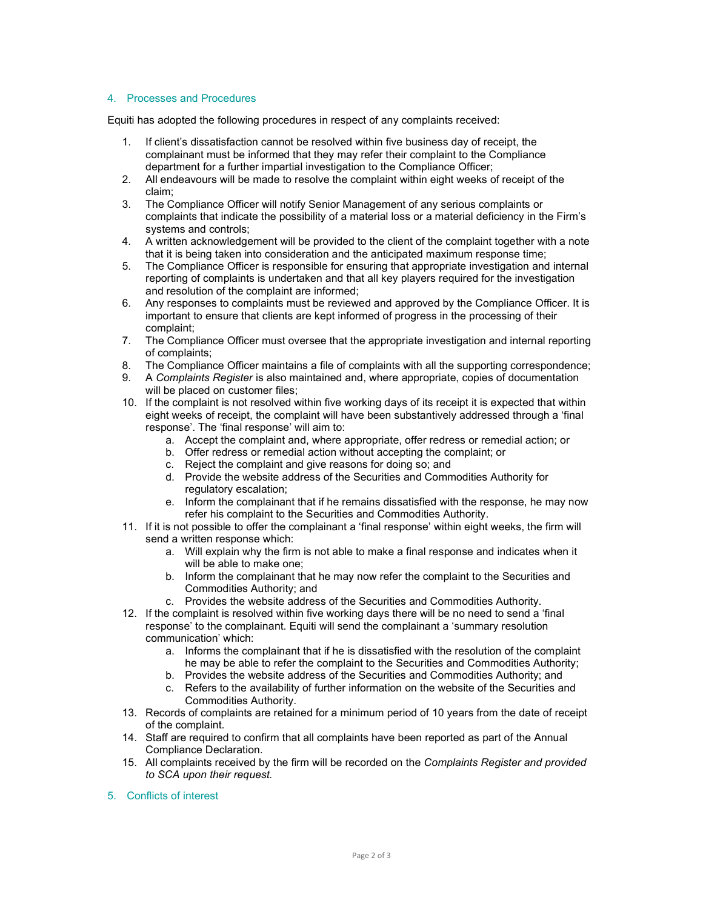# 4. Processes and Procedures

Equiti has adopted the following procedures in respect of any complaints received:

- 1. If client's dissatisfaction cannot be resolved within five business day of receipt, the complainant must be informed that they may refer their complaint to the Compliance department for a further impartial investigation to the Compliance Officer;
- 2. All endeavours will be made to resolve the complaint within eight weeks of receipt of the claim;
- 3. The Compliance Officer will notify Senior Management of any serious complaints or complaints that indicate the possibility of a material loss or a material deficiency in the Firm's systems and controls;
- 4. A written acknowledgement will be provided to the client of the complaint together with a note that it is being taken into consideration and the anticipated maximum response time;
- 5. The Compliance Officer is responsible for ensuring that appropriate investigation and internal reporting of complaints is undertaken and that all key players required for the investigation and resolution of the complaint are informed;
- 6. Any responses to complaints must be reviewed and approved by the Compliance Officer. It is important to ensure that clients are kept informed of progress in the processing of their complaint;
- 7. The Compliance Officer must oversee that the appropriate investigation and internal reporting of complaints;
- 8. The Compliance Officer maintains a file of complaints with all the supporting correspondence;
- 9. A Complaints Register is also maintained and, where appropriate, copies of documentation will be placed on customer files;
- 10. If the complaint is not resolved within five working days of its receipt it is expected that within eight weeks of receipt, the complaint will have been substantively addressed through a 'final response'. The 'final response' will aim to:
	- a. Accept the complaint and, where appropriate, offer redress or remedial action; or
	- b. Offer redress or remedial action without accepting the complaint; or
	- c. Reject the complaint and give reasons for doing so; and
	- d. Provide the website address of the Securities and Commodities Authority for regulatory escalation;
	- e. Inform the complainant that if he remains dissatisfied with the response, he may now refer his complaint to the Securities and Commodities Authority.
- 11. If it is not possible to offer the complainant a 'final response' within eight weeks, the firm will send a written response which:
	- a. Will explain why the firm is not able to make a final response and indicates when it will be able to make one;
	- b. Inform the complainant that he may now refer the complaint to the Securities and Commodities Authority; and
	- c. Provides the website address of the Securities and Commodities Authority.
- 12. If the complaint is resolved within five working days there will be no need to send a 'final response' to the complainant. Equiti will send the complainant a 'summary resolution communication' which:
	- a. Informs the complainant that if he is dissatisfied with the resolution of the complaint he may be able to refer the complaint to the Securities and Commodities Authority;
	- b. Provides the website address of the Securities and Commodities Authority; and
	- c. Refers to the availability of further information on the website of the Securities and Commodities Authority.
- 13. Records of complaints are retained for a minimum period of 10 years from the date of receipt of the complaint.
- 14. Staff are required to confirm that all complaints have been reported as part of the Annual Compliance Declaration.
- 15. All complaints received by the firm will be recorded on the Complaints Register and provided to SCA upon their request.
- 5. Conflicts of interest